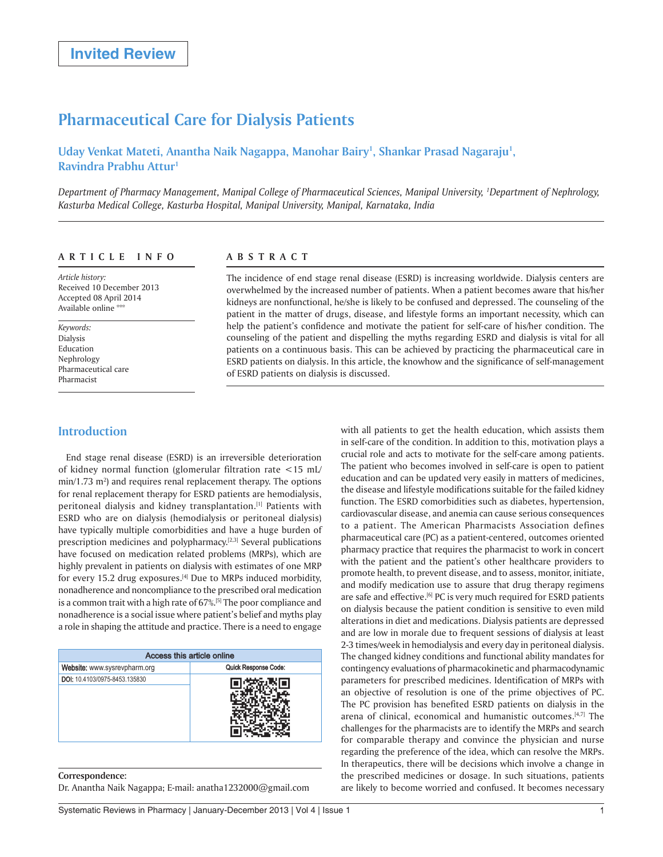# **Pharmaceutical Care for Dialysis Patients**

Uday Venkat Mateti, Anantha Naik Nagappa, Manohar Bairy<sup>1</sup>, Shankar Prasad Nagaraju<sup>1</sup>, **Ravindra Prabhu Attur1**

*Department of Pharmacy Management, Manipal College of Pharmaceutical Sciences, Manipal University, 1 Department of Nephrology, Kasturba Medical College, Kasturba Hospital, Manipal University, Manipal, Karnataka, India*

#### **ARTICLE INFO**

*Article history:*  Received 10 December 2013 Accepted 08 April 2014 Available online

*Keywords:*  Dialysis Education Nephrology Pharmaceutical care Pharmacist

**Introduction**

# **ABSTRACT**

The incidence of end stage renal disease (ESRD) is increasing worldwide. Dialysis centers are overwhelmed by the increased number of patients. When a patient becomes aware that his/her kidneys are nonfunctional, he/she is likely to be confused and depressed. The counseling of the patient in the matter of drugs, disease, and lifestyle forms an important necessity, which can help the patient's confidence and motivate the patient for self-care of his/her condition. The counseling of the patient and dispelling the myths regarding ESRD and dialysis is vital for all patients on a continuous basis. This can be achieved by practicing the pharmaceutical care in ESRD patients on dialysis. In this article, the knowhow and the significance of self-management of ESRD patients on dialysis is discussed.

End stage renal disease (ESRD) is an irreversible deterioration of kidney normal function (glomerular filtration rate <15 mL/  $min/1.73$   $m<sup>2</sup>$ ) and requires renal replacement therapy. The options for renal replacement therapy for ESRD patients are hemodialysis, peritoneal dialysis and kidney transplantation.[1] Patients with ESRD who are on dialysis (hemodialysis or peritoneal dialysis) have typically multiple comorbidities and have a huge burden of prescription medicines and polypharmacy.<sup>[2,3]</sup> Several publications have focused on medication related problems (MRPs), which are highly prevalent in patients on dialysis with estimates of one MRP for every 15.2 drug exposures.[4] Due to MRPs induced morbidity, nonadherence and noncompliance to the prescribed oral medication is a common trait with a high rate of 67%.<sup>[5]</sup> The poor compliance and nonadherence is a social issue where patient's belief and myths play a role in shaping the attitude and practice. There is a need to engage

| Access this article online    |                      |  |  |  |  |  |  |
|-------------------------------|----------------------|--|--|--|--|--|--|
| Website: www.sysrevpharm.org  | Quick Response Code: |  |  |  |  |  |  |
| DOI: 10.4103/0975-8453.135830 |                      |  |  |  |  |  |  |

**Correspondence:** Dr. Anantha Naik Nagappa; E-mail: anatha1232000@gmail.com with all patients to get the health education, which assists them in self-care of the condition. In addition to this, motivation plays a crucial role and acts to motivate for the self-care among patients. The patient who becomes involved in self-care is open to patient education and can be updated very easily in matters of medicines, the disease and lifestyle modifications suitable for the failed kidney function. The ESRD comorbidities such as diabetes, hypertension, cardiovascular disease, and anemia can cause serious consequences to a patient. The American Pharmacists Association defines pharmaceutical care (PC) as a patient-centered, outcomes oriented pharmacy practice that requires the pharmacist to work in concert with the patient and the patient's other healthcare providers to promote health, to prevent disease, and to assess, monitor, initiate, and modify medication use to assure that drug therapy regimens are safe and effective.<sup>[6]</sup> PC is very much required for ESRD patients on dialysis because the patient condition is sensitive to even mild alterations in diet and medications. Dialysis patients are depressed and are low in morale due to frequent sessions of dialysis at least 2-3 times/week in hemodialysis and every day in peritoneal dialysis. The changed kidney conditions and functional ability mandates for contingency evaluations of pharmacokinetic and pharmacodynamic parameters for prescribed medicines. Identification of MRPs with an objective of resolution is one of the prime objectives of PC. The PC provision has benefited ESRD patients on dialysis in the arena of clinical, economical and humanistic outcomes.[4,7] The challenges for the pharmacists are to identify the MRPs and search for comparable therapy and convince the physician and nurse regarding the preference of the idea, which can resolve the MRPs. In therapeutics, there will be decisions which involve a change in the prescribed medicines or dosage. In such situations, patients are likely to become worried and confused. It becomes necessary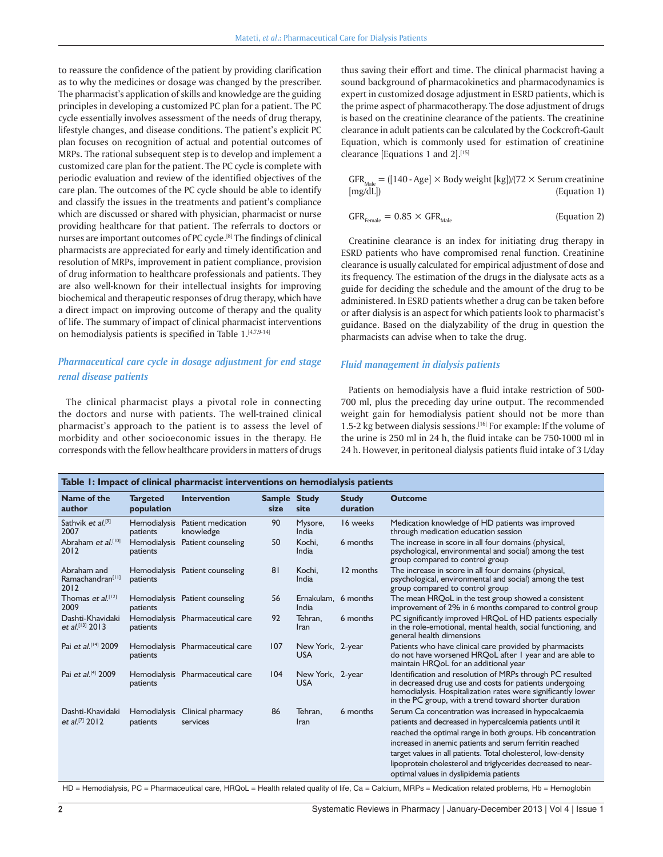to reassure the confidence of the patient by providing clarification as to why the medicines or dosage was changed by the prescriber. The pharmacist's application of skills and knowledge are the guiding principles in developing a customized PC plan for a patient. The PC cycle essentially involves assessment of the needs of drug therapy, lifestyle changes, and disease conditions. The patient's explicit PC plan focuses on recognition of actual and potential outcomes of MRPs. The rational subsequent step is to develop and implement a customized care plan for the patient. The PC cycle is complete with periodic evaluation and review of the identified objectives of the care plan. The outcomes of the PC cycle should be able to identify and classify the issues in the treatments and patient's compliance which are discussed or shared with physician, pharmacist or nurse providing healthcare for that patient. The referrals to doctors or nurses are important outcomes of PC cycle.<sup>[8]</sup> The findings of clinical pharmacists are appreciated for early and timely identification and resolution of MRPs, improvement in patient compliance, provision of drug information to healthcare professionals and patients. They are also well-known for their intellectual insights for improving biochemical and therapeutic responses of drug therapy, which have a direct impact on improving outcome of therapy and the quality of life. The summary of impact of clinical pharmacist interventions on hemodialysis patients is specified in Table 1.[4,7,9-14]

# *Pharmaceutical care cycle in dosage adjustment for end stage renal disease patients*

The clinical pharmacist plays a pivotal role in connecting the doctors and nurse with patients. The well-trained clinical pharmacist's approach to the patient is to assess the level of morbidity and other socioeconomic issues in the therapy. He corresponds with the fellow healthcare providers in matters of drugs

thus saving their effort and time. The clinical pharmacist having a sound background of pharmacokinetics and pharmacodynamics is expert in customized dosage adjustment in ESRD patients, which is the prime aspect of pharmacotherapy. The dose adjustment of drugs is based on the creatinine clearance of the patients. The creatinine clearance in adult patients can be calculated by the Cockcroft-Gault Equation, which is commonly used for estimation of creatinine clearance [Equations 1 and 2].[15]

$$
GFR_{\text{Male}} = ([140 - Age] \times Body weight [kg])/[72 \times Serum creationine [mg/dL])
$$
\n
$$
(Equation 1)
$$

$$
GFR_{\text{Female}} = 0.85 \times GFR_{\text{Male}} \tag{Equation 2}
$$

Creatinine clearance is an index for initiating drug therapy in ESRD patients who have compromised renal function. Creatinine clearance is usually calculated for empirical adjustment of dose and its frequency. The estimation of the drugs in the dialysate acts as a guide for deciding the schedule and the amount of the drug to be administered. In ESRD patients whether a drug can be taken before or after dialysis is an aspect for which patients look to pharmacist's guidance. Based on the dialyzability of the drug in question the pharmacists can advise when to take the drug.

#### *Fluid management in dialysis patients*

Patients on hemodialysis have a fluid intake restriction of 500- 700 ml, plus the preceding day urine output. The recommended weight gain for hemodialysis patient should not be more than 1.5-2 kg between dialysis sessions.<sup>[16]</sup> For example: If the volume of the urine is 250 ml in 24 h, the fluid intake can be 750-1000 ml in 24 h. However, in peritoneal dialysis patients fluid intake of 3 L/day

| Table 1: Impact of clinical pharmacist interventions on hemodialysis patients |                                 |                                            |                      |                                |                          |                                                                                                                                                                                                                                                                                                                                                                                                                         |  |  |  |
|-------------------------------------------------------------------------------|---------------------------------|--------------------------------------------|----------------------|--------------------------------|--------------------------|-------------------------------------------------------------------------------------------------------------------------------------------------------------------------------------------------------------------------------------------------------------------------------------------------------------------------------------------------------------------------------------------------------------------------|--|--|--|
| Name of the<br>author                                                         | <b>Targeted</b><br>population   | <b>Intervention</b>                        | Sample Study<br>size | site                           | <b>Study</b><br>duration | <b>Outcome</b>                                                                                                                                                                                                                                                                                                                                                                                                          |  |  |  |
| Sathvik et al. <sup>[9]</sup><br>2007                                         | <b>Hemodialysis</b><br>patients | Patient medication<br>knowledge            | 90                   | Mysore,<br>India               | 16 weeks                 | Medication knowledge of HD patients was improved<br>through medication education session                                                                                                                                                                                                                                                                                                                                |  |  |  |
| Abraham et al. <sup>[10]</sup><br>2012                                        | <b>Hemodialysis</b><br>patients | Patient counseling                         | 50                   | Kochi.<br>India                | 6 months                 | The increase in score in all four domains (physical,<br>psychological, environmental and social) among the test<br>group compared to control group                                                                                                                                                                                                                                                                      |  |  |  |
| Abraham and<br>Ramachandran <sup>[11]</sup><br>2012                           | patients                        | Hemodialysis Patient counseling            | 81                   | Kochi.<br>India                | 12 months                | The increase in score in all four domains (physical,<br>psychological, environmental and social) among the test<br>group compared to control group                                                                                                                                                                                                                                                                      |  |  |  |
| Thomas <i>et al.</i> <sup>[12]</sup><br>2009                                  | patients                        | Hemodialysis Patient counseling            | 56                   | Ernakulam,<br>India            | 6 months                 | The mean HRQoL in the test group showed a consistent<br>improvement of 2% in 6 months compared to control group                                                                                                                                                                                                                                                                                                         |  |  |  |
| Dashti-Khavidaki<br>et al. <sup>[13]</sup> 2013                               | patients                        | Hemodialysis Pharmaceutical care           | 92                   | Tehran,<br>Iran                | 6 months                 | PC significantly improved HRQoL of HD patients especially<br>in the role-emotional, mental health, social functioning, and<br>general health dimensions                                                                                                                                                                                                                                                                 |  |  |  |
| Pai et al. <sup>[14]</sup> 2009                                               | patients                        | Hemodialysis Pharmaceutical care           | 107                  | New York, 2-year<br><b>USA</b> |                          | Patients who have clinical care provided by pharmacists<br>do not have worsened HRQoL after I year and are able to<br>maintain HRQoL for an additional year                                                                                                                                                                                                                                                             |  |  |  |
| Pai et al. <sup>[4]</sup> 2009                                                | patients                        | Hemodialysis Pharmaceutical care           | 104                  | New York, 2-year<br><b>USA</b> |                          | Identification and resolution of MRPs through PC resulted<br>in decreased drug use and costs for patients undergoing<br>hemodialysis. Hospitalization rates were significantly lower<br>in the PC group, with a trend toward shorter duration                                                                                                                                                                           |  |  |  |
| Dashti-Khavidaki<br>et al. <sup>[7]</sup> 2012                                | patients                        | Hemodialysis Clinical pharmacy<br>services | 86                   | Tehran.<br>Iran                | 6 months                 | Serum Ca concentration was increased in hypocalcaemia<br>patients and decreased in hypercalcemia patients until it<br>reached the optimal range in both groups. Hb concentration<br>increased in anemic patients and serum ferritin reached<br>target values in all patients. Total cholesterol, low-density<br>lipoprotein cholesterol and triglycerides decreased to near-<br>optimal values in dyslipidemia patients |  |  |  |

HD = Hemodialysis, PC = Pharmaceutical care, HRQoL = Health related quality of life, Ca = Calcium, MRPs = Medication related problems, Hb = Hemoglobin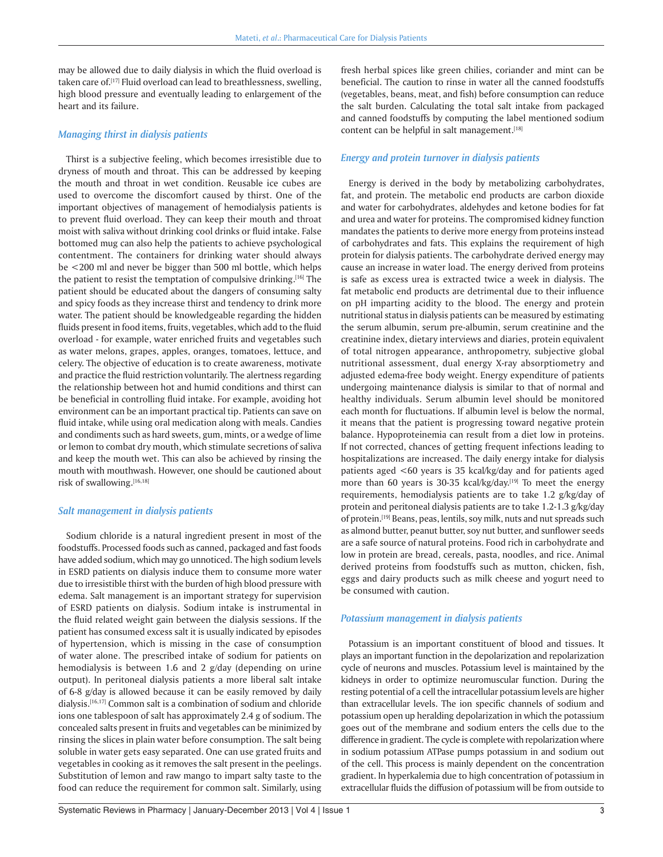may be allowed due to daily dialysis in which the fluid overload is taken care of.<sup>[17]</sup> Fluid overload can lead to breathlessness, swelling, high blood pressure and eventually leading to enlargement of the heart and its failure.

#### *Managing thirst in dialysis patients*

Thirst is a subjective feeling, which becomes irresistible due to dryness of mouth and throat. This can be addressed by keeping the mouth and throat in wet condition. Reusable ice cubes are used to overcome the discomfort caused by thirst. One of the important objectives of management of hemodialysis patients is to prevent fluid overload. They can keep their mouth and throat moist with saliva without drinking cool drinks or fluid intake. False bottomed mug can also help the patients to achieve psychological contentment. The containers for drinking water should always be <200 ml and never be bigger than 500 ml bottle, which helps the patient to resist the temptation of compulsive drinking.[16] The patient should be educated about the dangers of consuming salty and spicy foods as they increase thirst and tendency to drink more water. The patient should be knowledgeable regarding the hidden fluids present in food items, fruits, vegetables, which add to the fluid overload - for example, water enriched fruits and vegetables such as water melons, grapes, apples, oranges, tomatoes, lettuce, and celery. The objective of education is to create awareness, motivate and practice the fluid restriction voluntarily. The alertness regarding the relationship between hot and humid conditions and thirst can be beneficial in controlling fluid intake. For example, avoiding hot environment can be an important practical tip. Patients can save on fluid intake, while using oral medication along with meals. Candies and condiments such as hard sweets, gum, mints, or a wedge of lime or lemon to combat dry mouth, which stimulate secretions of saliva and keep the mouth wet. This can also be achieved by rinsing the mouth with mouthwash. However, one should be cautioned about risk of swallowing.[16,18]

#### *Salt management in dialysis patients*

Sodium chloride is a natural ingredient present in most of the foodstuffs. Processed foods such as canned, packaged and fast foods have added sodium, which may go unnoticed. The high sodium levels in ESRD patients on dialysis induce them to consume more water due to irresistible thirst with the burden of high blood pressure with edema. Salt management is an important strategy for supervision of ESRD patients on dialysis. Sodium intake is instrumental in the fluid related weight gain between the dialysis sessions. If the patient has consumed excess salt it is usually indicated by episodes of hypertension, which is missing in the case of consumption of water alone. The prescribed intake of sodium for patients on hemodialysis is between 1.6 and 2 g/day (depending on urine output). In peritoneal dialysis patients a more liberal salt intake of 6-8 g/day is allowed because it can be easily removed by daily dialysis.[16,17] Common salt is a combination of sodium and chloride ions one tablespoon of salt has approximately 2.4 g of sodium. The concealed salts present in fruits and vegetables can be minimized by rinsing the slices in plain water before consumption. The salt being soluble in water gets easy separated. One can use grated fruits and vegetables in cooking as it removes the salt present in the peelings. Substitution of lemon and raw mango to impart salty taste to the food can reduce the requirement for common salt. Similarly, using

fresh herbal spices like green chilies, coriander and mint can be beneficial. The caution to rinse in water all the canned foodstuffs (vegetables, beans, meat, and fish) before consumption can reduce the salt burden. Calculating the total salt intake from packaged and canned foodstuffs by computing the label mentioned sodium content can be helpful in salt management.[18]

#### *Energy and protein turnover in dialysis patients*

Energy is derived in the body by metabolizing carbohydrates, fat, and protein. The metabolic end products are carbon dioxide and water for carbohydrates, aldehydes and ketone bodies for fat and urea and water for proteins. The compromised kidney function mandates the patients to derive more energy from proteins instead of carbohydrates and fats. This explains the requirement of high protein for dialysis patients. The carbohydrate derived energy may cause an increase in water load. The energy derived from proteins is safe as excess urea is extracted twice a week in dialysis. The fat metabolic end products are detrimental due to their influence on pH imparting acidity to the blood. The energy and protein nutritional status in dialysis patients can be measured by estimating the serum albumin, serum pre-albumin, serum creatinine and the creatinine index, dietary interviews and diaries, protein equivalent of total nitrogen appearance, anthropometry, subjective global nutritional assessment, dual energy X-ray absorptiometry and adjusted edema-free body weight. Energy expenditure of patients undergoing maintenance dialysis is similar to that of normal and healthy individuals. Serum albumin level should be monitored each month for fluctuations. If albumin level is below the normal, it means that the patient is progressing toward negative protein balance. Hypoproteinemia can result from a diet low in proteins. If not corrected, chances of getting frequent infections leading to hospitalizations are increased. The daily energy intake for dialysis patients aged <60 years is 35 kcal/kg/day and for patients aged more than 60 years is 30-35 kcal/kg/day.[19] To meet the energy requirements, hemodialysis patients are to take 1.2 g/kg/day of protein and peritoneal dialysis patients are to take 1.2-1.3 g/kg/day of protein.<sup>[19]</sup> Beans, peas, lentils, soy milk, nuts and nut spreads such as almond butter, peanut butter, soy nut butter, and sunflower seeds are a safe source of natural proteins. Food rich in carbohydrate and low in protein are bread, cereals, pasta, noodles, and rice. Animal derived proteins from foodstuffs such as mutton, chicken, fish, eggs and dairy products such as milk cheese and yogurt need to be consumed with caution.

#### *Potassium management in dialysis patients*

Potassium is an important constituent of blood and tissues. It plays an important function in the depolarization and repolarization cycle of neurons and muscles. Potassium level is maintained by the kidneys in order to optimize neuromuscular function. During the resting potential of a cell the intracellular potassium levels are higher than extracellular levels. The ion specific channels of sodium and potassium open up heralding depolarization in which the potassium goes out of the membrane and sodium enters the cells due to the difference in gradient. The cycle is complete with repolarization where in sodium potassium ATPase pumps potassium in and sodium out of the cell. This process is mainly dependent on the concentration gradient. In hyperkalemia due to high concentration of potassium in extracellular fluids the diffusion of potassium will be from outside to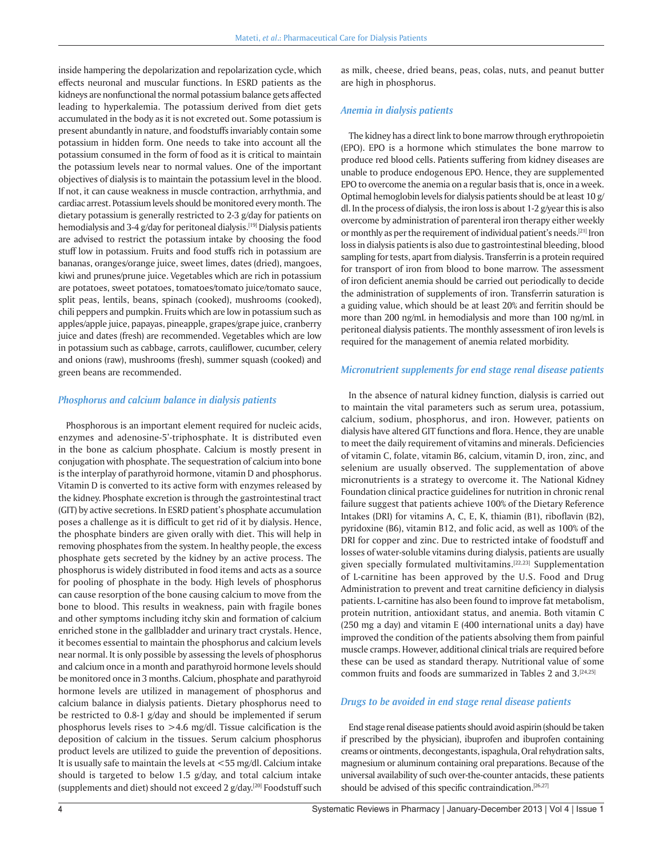inside hampering the depolarization and repolarization cycle, which effects neuronal and muscular functions. In ESRD patients as the kidneys are nonfunctional the normal potassium balance gets affected leading to hyperkalemia. The potassium derived from diet gets accumulated in the body as it is not excreted out. Some potassium is present abundantly in nature, and foodstuffs invariably contain some potassium in hidden form. One needs to take into account all the potassium consumed in the form of food as it is critical to maintain the potassium levels near to normal values. One of the important objectives of dialysis is to maintain the potassium level in the blood. If not, it can cause weakness in muscle contraction, arrhythmia, and cardiac arrest. Potassium levels should be monitored every month. The dietary potassium is generally restricted to 2-3 g/day for patients on hemodialysis and 3-4 g/day for peritoneal dialysis.<sup>[19]</sup> Dialysis patients are advised to restrict the potassium intake by choosing the food stuff low in potassium. Fruits and food stuffs rich in potassium are bananas, oranges/orange juice, sweet limes, dates (dried), mangoes, kiwi and prunes/prune juice. Vegetables which are rich in potassium are potatoes, sweet potatoes, tomatoes/tomato juice/tomato sauce, split peas, lentils, beans, spinach (cooked), mushrooms (cooked), chili peppers and pumpkin. Fruits which are low in potassium such as apples/apple juice, papayas, pineapple, grapes/grape juice, cranberry juice and dates (fresh) are recommended. Vegetables which are low in potassium such as cabbage, carrots, cauliflower, cucumber, celery and onions (raw), mushrooms (fresh), summer squash (cooked) and green beans are recommended.

#### *Phosphorus and calcium balance in dialysis patients*

Phosphorous is an important element required for nucleic acids, enzymes and adenosine-5'-triphosphate. It is distributed even in the bone as calcium phosphate. Calcium is mostly present in conjugation with phosphate. The sequestration of calcium into bone is the interplay of parathyroid hormone, vitamin D and phosphorus. Vitamin D is converted to its active form with enzymes released by the kidney. Phosphate excretion is through the gastrointestinal tract (GIT) by active secretions. In ESRD patient's phosphate accumulation poses a challenge as it is difficult to get rid of it by dialysis. Hence, the phosphate binders are given orally with diet. This will help in removing phosphates from the system. In healthy people, the excess phosphate gets secreted by the kidney by an active process. The phosphorus is widely distributed in food items and acts as a source for pooling of phosphate in the body. High levels of phosphorus can cause resorption of the bone causing calcium to move from the bone to blood. This results in weakness, pain with fragile bones and other symptoms including itchy skin and formation of calcium enriched stone in the gallbladder and urinary tract crystals. Hence, it becomes essential to maintain the phosphorus and calcium levels near normal. It is only possible by assessing the levels of phosphorus and calcium once in a month and parathyroid hormone levels should be monitored once in 3 months. Calcium, phosphate and parathyroid hormone levels are utilized in management of phosphorus and calcium balance in dialysis patients. Dietary phosphorus need to be restricted to 0.8-1 g/day and should be implemented if serum phosphorus levels rises to  $>4.6$  mg/dl. Tissue calcification is the deposition of calcium in the tissues. Serum calcium phosphorus product levels are utilized to guide the prevention of depositions. It is usually safe to maintain the levels at <55 mg/dl. Calcium intake should is targeted to below 1.5 g/day, and total calcium intake (supplements and diet) should not exceed 2 g/day.<sup>[20]</sup> Foodstuff such

as milk, cheese, dried beans, peas, colas, nuts, and peanut butter are high in phosphorus.

#### *Anemia in dialysis patients*

The kidney has a direct link to bone marrow through erythropoietin (EPO). EPO is a hormone which stimulates the bone marrow to produce red blood cells. Patients suffering from kidney diseases are unable to produce endogenous EPO. Hence, they are supplemented EPO to overcome the anemia on a regular basis that is, once in a week. Optimal hemoglobin levels for dialysis patients should be at least 10 g/ dl. In the process of dialysis, the iron loss is about 1-2 g/year this is also overcome by administration of parenteral iron therapy either weekly or monthly as per the requirement of individual patient's needs.[21] Iron loss in dialysis patients is also due to gastrointestinal bleeding, blood sampling for tests, apart from dialysis. Transferrin is a protein required for transport of iron from blood to bone marrow. The assessment of iron deficient anemia should be carried out periodically to decide the administration of supplements of iron. Transferrin saturation is a guiding value, which should be at least 20% and ferritin should be more than 200 ng/mL in hemodialysis and more than 100 ng/mL in peritoneal dialysis patients. The monthly assessment of iron levels is required for the management of anemia related morbidity.

#### *Micronutrient supplements for end stage renal disease patients*

In the absence of natural kidney function, dialysis is carried out to maintain the vital parameters such as serum urea, potassium, calcium, sodium, phosphorus, and iron. However, patients on dialysis have altered GIT functions and flora. Hence, they are unable to meet the daily requirement of vitamins and minerals. Deficiencies of vitamin C, folate, vitamin B6, calcium, vitamin D, iron, zinc, and selenium are usually observed. The supplementation of above micronutrients is a strategy to overcome it. The National Kidney Foundation clinical practice guidelines for nutrition in chronic renal failure suggest that patients achieve 100% of the Dietary Reference Intakes (DRI) for vitamins A, C, E, K, thiamin (B1), riboflavin (B2), pyridoxine (B6), vitamin B12, and folic acid, as well as 100% of the DRI for copper and zinc. Due to restricted intake of foodstuff and losses of water-soluble vitamins during dialysis, patients are usually given specially formulated multivitamins.[22,23] Supplementation of L-carnitine has been approved by the U.S. Food and Drug Administration to prevent and treat carnitine deficiency in dialysis patients. L-carnitine has also been found to improve fat metabolism, protein nutrition, antioxidant status, and anemia. Both vitamin C (250 mg a day) and vitamin E (400 international units a day) have improved the condition of the patients absolving them from painful muscle cramps. However, additional clinical trials are required before these can be used as standard therapy. Nutritional value of some common fruits and foods are summarized in Tables 2 and 3.[24,25]

### *Drugs to be avoided in end stage renal disease patients*

End stage renal disease patients should avoid aspirin (should be taken if prescribed by the physician), ibuprofen and ibuprofen containing creams or ointments, decongestants, ispaghula, Oral rehydration salts, magnesium or aluminum containing oral preparations. Because of the universal availability of such over-the-counter antacids, these patients should be advised of this specific contraindication.<sup>[26,27]</sup>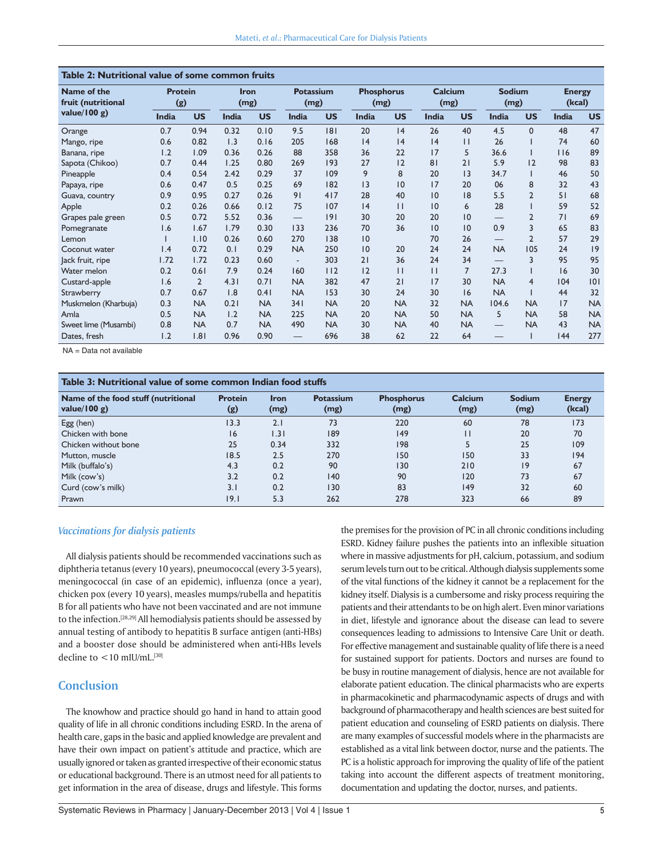| Table 2: Nutritional value of some common fruits |                       |                |                     |           |                          |           |                           |              |                        |                |                       |                |                         |           |
|--------------------------------------------------|-----------------------|----------------|---------------------|-----------|--------------------------|-----------|---------------------------|--------------|------------------------|----------------|-----------------------|----------------|-------------------------|-----------|
| Name of the<br>fruit (nutritional                | <b>Protein</b><br>(g) |                | <b>Iron</b><br>(mg) |           | <b>Potassium</b><br>(mg) |           | <b>Phosphorus</b><br>(mg) |              | <b>Calcium</b><br>(mg) |                | <b>Sodium</b><br>(mg) |                | <b>Energy</b><br>(kcal) |           |
| value/ $100 g$ )                                 | <b>India</b>          | <b>US</b>      | <b>India</b>        | <b>US</b> | <b>India</b>             | <b>US</b> | <b>India</b>              | <b>US</b>    | <b>India</b>           | <b>US</b>      | <b>India</b>          | <b>US</b>      | <b>India</b>            | <b>US</b> |
| Orange                                           | 0.7                   | 0.94           | 0.32                | 0.10      | 9.5                      | 8         | 20                        | 4            | 26                     | 40             | 4.5                   | $\Omega$       | 48                      | 47        |
| Mango, ripe                                      | 0.6                   | 0.82           | 1.3                 | 0.16      | 205                      | 168       | 4                         | 4            | 4                      | $\mathsf{L}$   | 26                    |                | 74                      | 60        |
| Banana, ripe                                     | 1.2                   | 1.09           | 0.36                | 0.26      | 88                       | 358       | 36                        | 22           | 17                     | 5              | 36.6                  |                | 116                     | 89        |
| Sapota (Chikoo)                                  | 0.7                   | 0.44           | 1.25                | 0.80      | 269                      | 193       | 27                        | 12           | 81                     | 21             | 5.9                   | 12             | 98                      | 83        |
| Pineapple                                        | 0.4                   | 0.54           | 2.42                | 0.29      | 37                       | 109       | 9                         | 8            | 20                     | 3              | 34.7                  |                | 46                      | 50        |
| Papaya, ripe                                     | 0.6                   | 0.47           | 0.5                 | 0.25      | 69                       | 182       | 3                         | 10           | 17                     | 20             | 06                    | 8              | 32                      | 43        |
| Guava, country                                   | 0.9                   | 0.95           | 0.27                | 0.26      | 91                       | 417       | 28                        | 40           | 10                     | 18             | 5.5                   | $\overline{2}$ | 51                      | 68        |
| Apple                                            | 0.2                   | 0.26           | 0.66                | 0.12      | 75                       | 107       | 4                         | $\mathbf{H}$ | 10                     | 6              | 28                    |                | 59                      | 52        |
| Grapes pale green                                | 0.5                   | 0.72           | 5.52                | 0.36      |                          | 9         | 30                        | 20           | 20                     | 0              |                       | $\overline{2}$ | 71                      | 69        |
| Pomegranate                                      | 1.6                   | 1.67           | 1.79                | 0.30      | 133                      | 236       | 70                        | 36           | 10                     | 0              | 0.9                   | 3              | 65                      | 83        |
| Lemon                                            |                       | 1.10           | 0.26                | 0.60      | 270                      | 138       | 10                        |              | 70                     | 26             | $\qquad \qquad -$     | $\overline{2}$ | 57                      | 29        |
| Coconut water                                    | $\mathsf{I}$ .4       | 0.72           | 0.1                 | 0.29      | <b>NA</b>                | 250       | 10                        | 20           | 24                     | 24             | <b>NA</b>             | 105            | 24                      | 9         |
| Jack fruit, ripe                                 | 1.72                  | 1.72           | 0.23                | 0.60      | $\overline{\phantom{a}}$ | 303       | 21                        | 36           | 24                     | 34             | $\qquad \qquad -$     | 3              | 95                      | 95        |
| Water melon                                      | 0.2                   | 0.61           | 7.9                 | 0.24      | 160                      | 112       | 12                        | $\mathbf{H}$ | $\mathbf{H}$           | $\overline{7}$ | 27.3                  |                | 16                      | 30        |
| Custard-apple                                    | 1.6                   | $\overline{2}$ | 4.31                | 0.71      | <b>NA</b>                | 382       | 47                        | 21           | 17                     | 30             | <b>NA</b>             | 4              | 104                     | 0         |
| Strawberry                                       | 0.7                   | 0.67           | 1.8                 | 0.41      | <b>NA</b>                | 153       | 30                        | 24           | 30                     | 6              | <b>NA</b>             |                | 44                      | 32        |
| Muskmelon (Kharbuja)                             | 0.3                   | <b>NA</b>      | 0.21                | <b>NA</b> | 341                      | <b>NA</b> | 20                        | <b>NA</b>    | 32                     | <b>NA</b>      | 104.6                 | <b>NA</b>      | 17                      | <b>NA</b> |
| Amla                                             | 0.5                   | <b>NA</b>      | 1.2                 | <b>NA</b> | 225                      | <b>NA</b> | 20                        | <b>NA</b>    | 50                     | <b>NA</b>      | 5                     | <b>NA</b>      | 58                      | <b>NA</b> |
| Sweet lime (Musambi)                             | 0.8                   | <b>NA</b>      | 0.7                 | <b>NA</b> | 490                      | <b>NA</b> | 30                        | <b>NA</b>    | 40                     | <b>NA</b>      |                       | <b>NA</b>      | 43                      | <b>NA</b> |
| Dates, fresh                                     | 1.2                   | .8             | 0.96                | 0.90      |                          | 696       | 38                        | 62           | 22                     | 64             |                       |                | 44                      | 277       |

NA = Data not available

| Table 3: Nutritional value of some common Indian food stuffs |                       |                     |                          |                           |                        |                       |                         |  |  |  |
|--------------------------------------------------------------|-----------------------|---------------------|--------------------------|---------------------------|------------------------|-----------------------|-------------------------|--|--|--|
| Name of the food stuff (nutritional<br>value/100 g)          | <b>Protein</b><br>(g) | <b>Iron</b><br>(mg) | <b>Potassium</b><br>(mg) | <b>Phosphorus</b><br>(mg) | <b>Calcium</b><br>(mg) | <b>Sodium</b><br>(mg) | <b>Energy</b><br>(kcal) |  |  |  |
| Egg(hen)                                                     | 13.3                  | 2.1                 | 73                       | 220                       | 60                     | 78                    | 173                     |  |  |  |
| Chicken with bone                                            | 16                    | 1.31                | 189                      | 149                       | П                      | 20                    | 70                      |  |  |  |
| Chicken without bone                                         | 25                    | 0.34                | 332                      | 198                       |                        | 25                    | 109                     |  |  |  |
| Mutton, muscle                                               | 18.5                  | 2.5                 | 270                      | 150                       | 150                    | 33                    | 194                     |  |  |  |
| Milk (buffalo's)                                             | 4.3                   | 0.2                 | 90                       | 130                       | 210                    | 9                     | 67                      |  |  |  |
| Milk (cow's)                                                 | 3.2                   | 0.2                 | 140                      | 90                        | 120                    | 73                    | 67                      |  |  |  |
| Curd (cow's milk)                                            | 3.1                   | 0.2                 | 130                      | 83                        | 149                    | 32                    | 60                      |  |  |  |
| Prawn                                                        | 9.1                   | 5.3                 | 262                      | 278                       | 323                    | 66                    | 89                      |  |  |  |

#### *Vaccinations for dialysis patients*

All dialysis patients should be recommended vaccinations such as diphtheria tetanus (every 10 years), pneumococcal (every 3-5 years), meningococcal (in case of an epidemic), influenza (once a year), chicken pox (every 10 years), measles mumps/rubella and hepatitis B for all patients who have not been vaccinated and are not immune to the infection.<sup>[28,29]</sup> All hemodialysis patients should be assessed by annual testing of antibody to hepatitis B surface antigen (anti-HBs) and a booster dose should be administered when anti-HBs levels decline to  $<$  10 mIU/mL.<sup>[30]</sup>

### **Conclusion**

The knowhow and practice should go hand in hand to attain good quality of life in all chronic conditions including ESRD. In the arena of health care, gaps in the basic and applied knowledge are prevalent and have their own impact on patient's attitude and practice, which are usually ignored or taken as granted irrespective of their economic status or educational background. There is an utmost need for all patients to get information in the area of disease, drugs and lifestyle. This forms the premises for the provision of PC in all chronic conditions including ESRD. Kidney failure pushes the patients into an inflexible situation where in massive adjustments for pH, calcium, potassium, and sodium serum levels turn out to be critical. Although dialysis supplements some of the vital functions of the kidney it cannot be a replacement for the kidney itself. Dialysis is a cumbersome and risky process requiring the patients and their attendants to be on high alert. Even minor variations in diet, lifestyle and ignorance about the disease can lead to severe consequences leading to admissions to Intensive Care Unit or death. For effective management and sustainable quality of life there is a need for sustained support for patients. Doctors and nurses are found to be busy in routine management of dialysis, hence are not available for elaborate patient education. The clinical pharmacists who are experts in pharmacokinetic and pharmacodynamic aspects of drugs and with background of pharmacotherapy and health sciences are best suited for patient education and counseling of ESRD patients on dialysis. There are many examples of successful models where in the pharmacists are established as a vital link between doctor, nurse and the patients. The PC is a holistic approach for improving the quality of life of the patient taking into account the different aspects of treatment monitoring, documentation and updating the doctor, nurses, and patients.